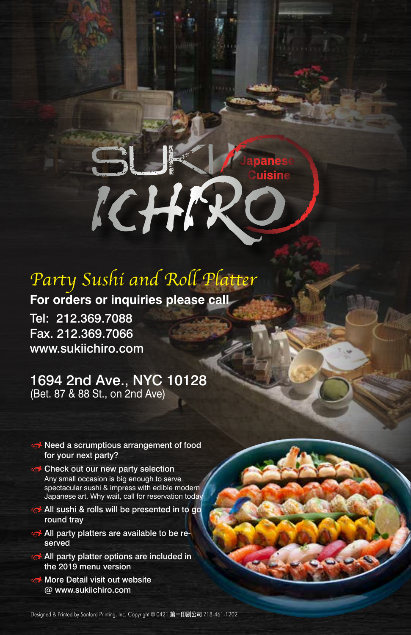# ICHIR

# *Party Sushi and Roll Platter*

**For orders or inquiries please call** Tel: 212.369.7088 Fax. 212.369.7066 www.sukiichiro.com

### 1694 2nd Ave., NYC 10128 (Bet. 87 & 88 St., on 2nd Ave)

- Reed a scrumptious arrangement of food for your next party?
- **Check out our new party selection** Any small occasion is big enough to serve spectacular sushi & impress with edible modern Japanese art. Why wait, call for reservation today
- **All sushi & rolls will be presented in to go** round tray
- All party platters are available to be reserved
- All party platter options are included in the 2019 menu version
- More Detail visit out website @ www.sukiichiro.com